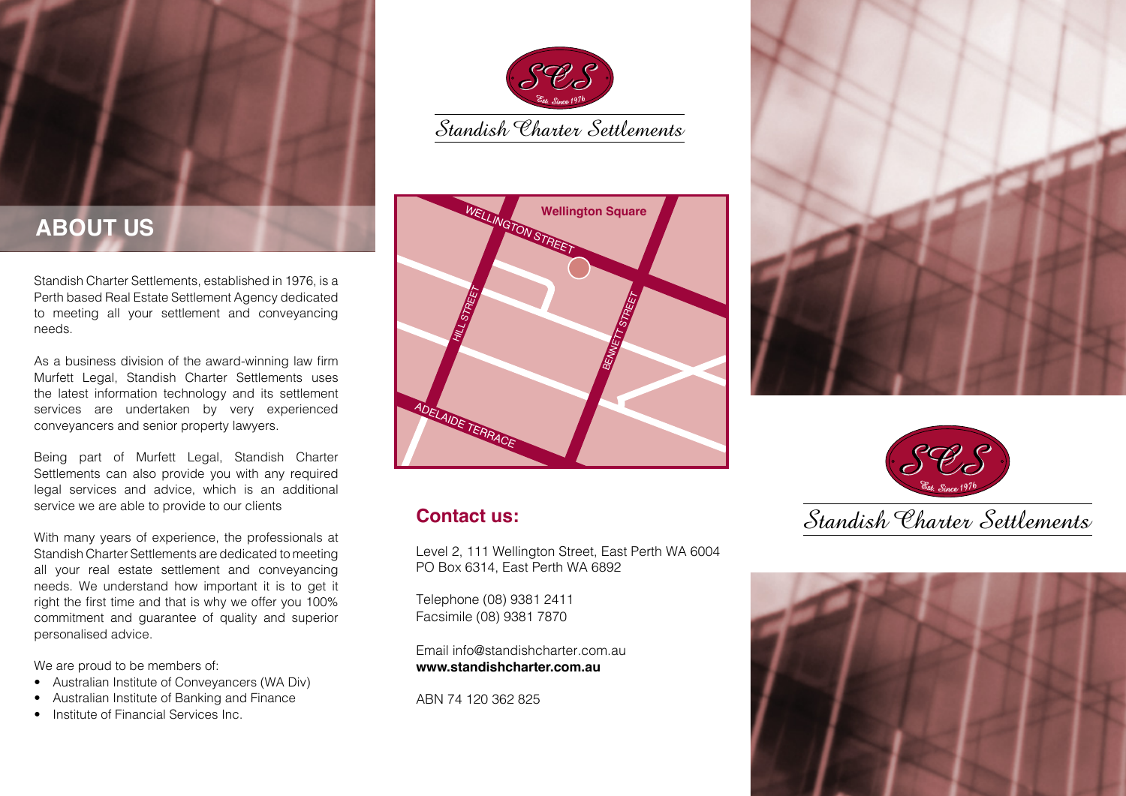

Standish Charter Settlements, established in 1976, is a Perth based Real Estate Settlement Agency dedicated to meeting all your settlement and conveyancing needs.

As a business division of the award-winning law firm Murfett Legal, Standish Charter Settlements uses the latest information technology and its settlement services are undertaken by very experienced conveyancers and senior property lawyers.

Being part of Murfett Legal, Standish Charter Settlements can also provide you with any required legal services and advice, which is an additional service we are able to provide to our clients

With many years of experience, the professionals at Standish Charter Settlements are dedicated to meeting all your real estate settlement and conveyancing needs. We understand how important it is to get it right the first time and that is why we offer you 100% commitment and guarantee of quality and superior personalised advice.

We are proud to be members of:

- Australian Institute of Conveyancers (WA Div)
- Australian Institute of Banking and Finance
- Institute of Financial Services Inc.





## **Contact us:**

Level 2, 111 Wellington Street, East Perth WA 6004 PO Box 6314, East Perth WA 6892

Telephone (08) 9381 2411 Facsimile (08) 9381 7870

Email info@standishcharter.com.au **www.standishcharter.com.au**

ABN 74 120 362 825